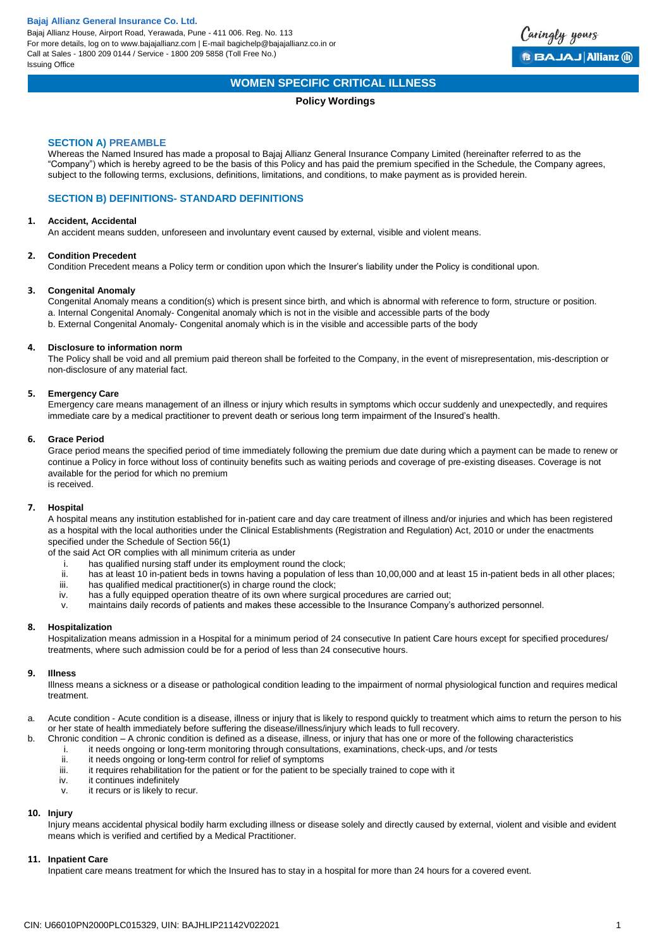Bajaj Allianz House, Airport Road, Yerawada, Pune - 411 006. Reg. No. 113 For more details, log on to www.bajajallianz.com | E-mail bagichelp@bajajallianz.co.in or Call at Sales - 1800 209 0144 / Service - 1800 209 5858 (Toll Free No.) Issuing Office



# **WOMEN SPECIFIC CRITICAL ILLNESS**

## **Policy Wordings**

## **SECTION A) PREAMBLE**

Whereas the Named Insured has made a proposal to Bajaj Allianz General Insurance Company Limited (hereinafter referred to as the "Company") which is hereby agreed to be the basis of this Policy and has paid the premium specified in the Schedule, the Company agrees, subject to the following terms, exclusions, definitions, limitations, and conditions, to make payment as is provided herein.

## **SECTION B) DEFINITIONS- STANDARD DEFINITIONS**

#### **1. Accident, Accidental**

An accident means sudden, unforeseen and involuntary event caused by external, visible and violent means.

#### **2. Condition Precedent**

Condition Precedent means a Policy term or condition upon which the Insurer's liability under the Policy is conditional upon.

#### **3. Congenital Anomaly**

Congenital Anomaly means a condition(s) which is present since birth, and which is abnormal with reference to form, structure or position. a. Internal Congenital Anomaly- Congenital anomaly which is not in the visible and accessible parts of the body b. External Congenital Anomaly- Congenital anomaly which is in the visible and accessible parts of the body

## **4. Disclosure to information norm**

The Policy shall be void and all premium paid thereon shall be forfeited to the Company, in the event of misrepresentation, mis-description or non-disclosure of any material fact.

#### **5. Emergency Care**

Emergency care means management of an illness or injury which results in symptoms which occur suddenly and unexpectedly, and requires immediate care by a medical practitioner to prevent death or serious long term impairment of the Insured's health.

## **6. Grace Period**

Grace period means the specified period of time immediately following the premium due date during which a payment can be made to renew or continue a Policy in force without loss of continuity benefits such as waiting periods and coverage of pre-existing diseases. Coverage is not available for the period for which no premium is received.

## **7. Hospital**

A hospital means any institution established for in-patient care and day care treatment of illness and/or injuries and which has been registered as a hospital with the local authorities under the Clinical Establishments (Registration and Regulation) Act, 2010 or under the enactments specified under the Schedule of Section 56(1)

of the said Act OR complies with all minimum criteria as under

- i. has qualified nursing staff under its employment round the clock;<br>ii has at least 10 in-patient heds in towns having a population of least
- ii. has at least 10 in-patient beds in towns having a population of less than 10,00,000 and at least 15 in-patient beds in all other places;<br>iii. has qualified medical practitioner(s) in charge round the clock;
- has qualified medical practitioner(s) in charge round the clock;
- iv. has a fully equipped operation theatre of its own where surgical procedures are carried out;
- v. maintains daily records of patients and makes these accessible to the Insurance Company's authorized personnel.

#### **8. Hospitalization**

Hospitalization means admission in a Hospital for a minimum period of 24 consecutive In patient Care hours except for specified procedures/ treatments, where such admission could be for a period of less than 24 consecutive hours.

#### **9. Illness**

Illness means a sickness or a disease or pathological condition leading to the impairment of normal physiological function and requires medical treatment.

- a. Acute condition Acute condition is a disease, illness or injury that is likely to respond quickly to treatment which aims to return the person to his or her state of health immediately before suffering the disease/illness/injury which leads to full recovery.
- b. Chronic condition A chronic condition is defined as a disease, illness, or injury that has one or more of the following characteristics
	- i. it needs ongoing or long-term monitoring through consultations, examinations, check-ups, and /or tests<br>ii. it needs ongoing or long-term control for relief of symptoms
	- ii. it needs ongoing or long-term control for relief of symptoms<br>iii it requires rehabilitation for the patient or for the patient to b
	- it requires rehabilitation for the patient or for the patient to be specially trained to cope with it
	- iv. it continues indefinitely
	- v. it recurs or is likely to recur.

## **10. Injury**

Injury means accidental physical bodily harm excluding illness or disease solely and directly caused by external, violent and visible and evident means which is verified and certified by a Medical Practitioner.

## **11. Inpatient Care**

Inpatient care means treatment for which the Insured has to stay in a hospital for more than 24 hours for a covered event.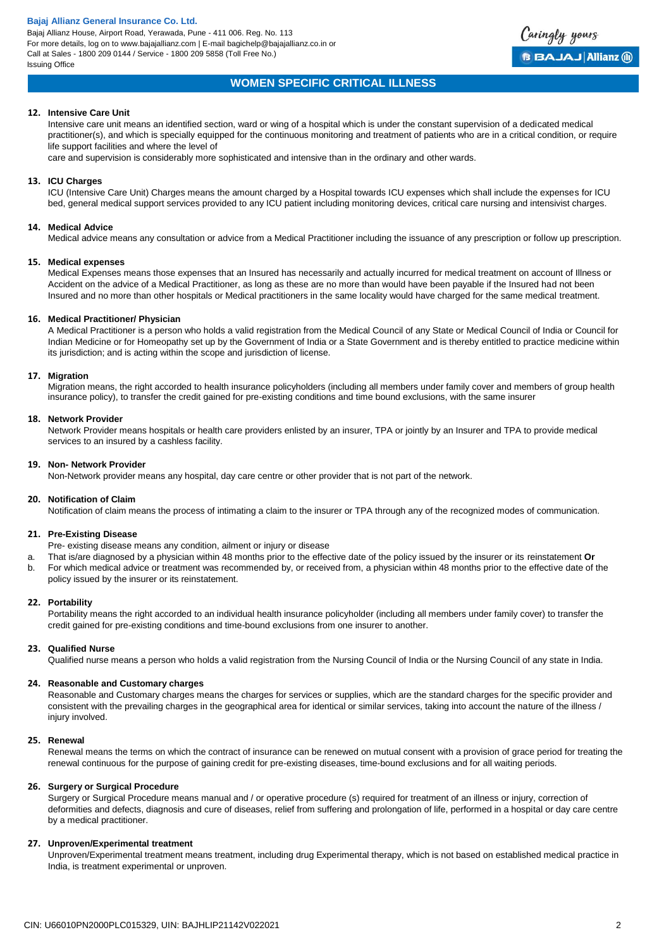Bajaj Allianz House, Airport Road, Yerawada, Pune - 411 006. Reg. No. 113 For more details, log on to www.bajajallianz.com | E-mail bagichelp@bajajallianz.co.in or Call at Sales - 1800 209 0144 / Service - 1800 209 5858 (Toll Free No.) Issuing Office



## **WOMEN SPECIFIC CRITICAL ILLNESS**

#### **12. Intensive Care Unit**

Intensive care unit means an identified section, ward or wing of a hospital which is under the constant supervision of a dedicated medical practitioner(s), and which is specially equipped for the continuous monitoring and treatment of patients who are in a critical condition, or require life support facilities and where the level of

care and supervision is considerably more sophisticated and intensive than in the ordinary and other wards.

## **13. ICU Charges**

ICU (Intensive Care Unit) Charges means the amount charged by a Hospital towards ICU expenses which shall include the expenses for ICU bed, general medical support services provided to any ICU patient including monitoring devices, critical care nursing and intensivist charges.

#### **14. Medical Advice**

Medical advice means any consultation or advice from a Medical Practitioner including the issuance of any prescription or follow up prescription.

#### **15. Medical expenses**

Medical Expenses means those expenses that an Insured has necessarily and actually incurred for medical treatment on account of Illness or Accident on the advice of a Medical Practitioner, as long as these are no more than would have been payable if the Insured had not been Insured and no more than other hospitals or Medical practitioners in the same locality would have charged for the same medical treatment.

#### **16. Medical Practitioner/ Physician**

A Medical Practitioner is a person who holds a valid registration from the Medical Council of any State or Medical Council of India or Council for Indian Medicine or for Homeopathy set up by the Government of India or a State Government and is thereby entitled to practice medicine within its jurisdiction; and is acting within the scope and jurisdiction of license.

#### **17. Migration**

Migration means, the right accorded to health insurance policyholders (including all members under family cover and members of group health insurance policy), to transfer the credit gained for pre-existing conditions and time bound exclusions, with the same insurer

#### **18. Network Provider**

Network Provider means hospitals or health care providers enlisted by an insurer, TPA or jointly by an Insurer and TPA to provide medical services to an insured by a cashless facility.

## **19. Non- Network Provider**

Non-Network provider means any hospital, day care centre or other provider that is not part of the network.

#### **20. Notification of Claim**

Notification of claim means the process of intimating a claim to the insurer or TPA through any of the recognized modes of communication.

#### **21. Pre-Existing Disease**

- Pre- existing disease means any condition, ailment or injury or disease
- a. That is/are diagnosed by a physician within 48 months prior to the effective date of the policy issued by the insurer or its reinstatement **Or**
- b. For which medical advice or treatment was recommended by, or received from, a physician within 48 months prior to the effective date of the policy issued by the insurer or its reinstatement.

### **22. Portability**

Portability means the right accorded to an individual health insurance policyholder (including all members under family cover) to transfer the credit gained for pre-existing conditions and time-bound exclusions from one insurer to another.

#### **23. Qualified Nurse**

Qualified nurse means a person who holds a valid registration from the Nursing Council of India or the Nursing Council of any state in India.

## **24. Reasonable and Customary charges**

Reasonable and Customary charges means the charges for services or supplies, which are the standard charges for the specific provider and consistent with the prevailing charges in the geographical area for identical or similar services, taking into account the nature of the illness / injury involved.

#### **25. Renewal**

Renewal means the terms on which the contract of insurance can be renewed on mutual consent with a provision of grace period for treating the renewal continuous for the purpose of gaining credit for pre-existing diseases, time-bound exclusions and for all waiting periods.

#### **26. Surgery or Surgical Procedure**

Surgery or Surgical Procedure means manual and / or operative procedure (s) required for treatment of an illness or injury, correction of deformities and defects, diagnosis and cure of diseases, relief from suffering and prolongation of life, performed in a hospital or day care centre by a medical practitioner.

#### **27. Unproven/Experimental treatment**

Unproven/Experimental treatment means treatment, including drug Experimental therapy, which is not based on established medical practice in India, is treatment experimental or unproven.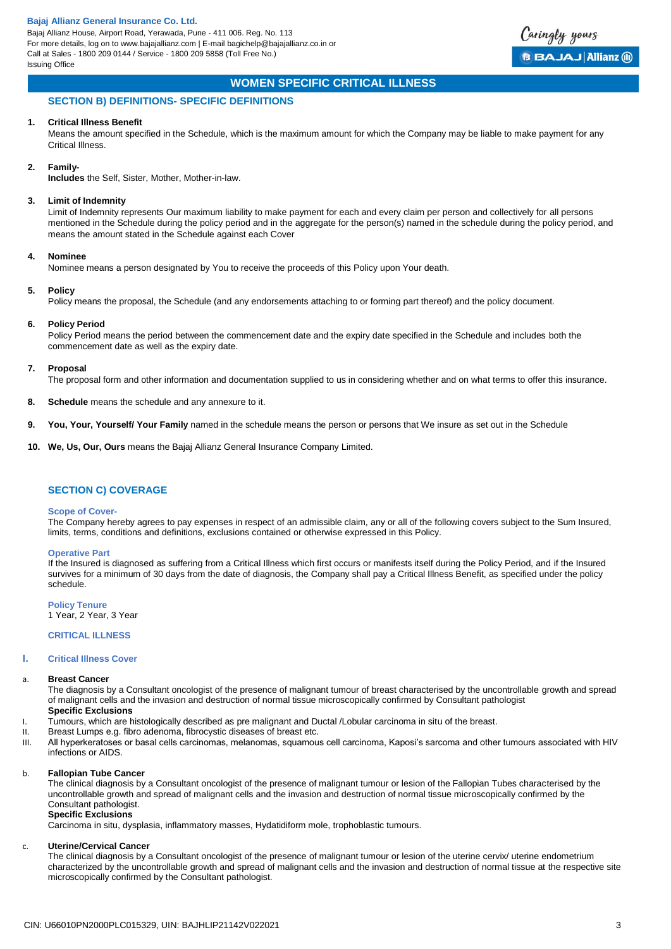

# **WOMEN SPECIFIC CRITICAL ILLNESS**

## **SECTION B) DEFINITIONS- SPECIFIC DEFINITIONS**

#### **1. Critical Illness Benefit**

Means the amount specified in the Schedule, which is the maximum amount for which the Company may be liable to make payment for any Critical Illness.

#### **2. Family-**

**Includes** the Self, Sister, Mother, Mother-in-law.

### **3. Limit of Indemnity**

Limit of Indemnity represents Our maximum liability to make payment for each and every claim per person and collectively for all persons mentioned in the Schedule during the policy period and in the aggregate for the person(s) named in the schedule during the policy period, and means the amount stated in the Schedule against each Cover

#### **4. Nominee**

Nominee means a person designated by You to receive the proceeds of this Policy upon Your death.

#### **5. Policy**

Policy means the proposal, the Schedule (and any endorsements attaching to or forming part thereof) and the policy document.

#### **6. Policy Period**

Policy Period means the period between the commencement date and the expiry date specified in the Schedule and includes both the commencement date as well as the expiry date.

#### **7. Proposal**

The proposal form and other information and documentation supplied to us in considering whether and on what terms to offer this insurance.

- **8. Schedule** means the schedule and any annexure to it.
- **9. You, Your, Yourself/ Your Family** named in the schedule means the person or persons that We insure as set out in the Schedule
- **10. We, Us, Our, Ours** means the Bajaj Allianz General Insurance Company Limited.

## **SECTION C) COVERAGE**

#### **Scope of Cover-**

The Company hereby agrees to pay expenses in respect of an admissible claim, any or all of the following covers subject to the Sum Insured, limits, terms, conditions and definitions, exclusions contained or otherwise expressed in this Policy.

#### **Operative Part**

If the Insured is diagnosed as suffering from a Critical Illness which first occurs or manifests itself during the Policy Period, and if the Insured survives for a minimum of 30 days from the date of diagnosis, the Company shall pay a Critical Illness Benefit, as specified under the policy schedule.

**Policy Tenure** 1 Year, 2 Year, 3 Year

## **CRITICAL ILLNESS**

## **I. Critical Illness Cover**

#### **Breast Cancer**

The diagnosis by a Consultant oncologist of the presence of malignant tumour of breast characterised by the uncontrollable growth and spread of malignant cells and the invasion and destruction of normal tissue microscopically confirmed by Consultant pathologist

# **Specific Exclusions**

- I. Tumours, which are histologically described as pre malignant and Ductal /Lobular carcinoma in situ of the breast.
- II. Breast Lumps e.g. fibro adenoma, fibrocystic diseases of breast etc.
- III. All hyperkeratoses or basal cells carcinomas, melanomas, squamous cell carcinoma, Kaposi's sarcoma and other tumours associated with HIV infections or AIDS.

#### b. **Fallopian Tube Cancer**

The clinical diagnosis by a Consultant oncologist of the presence of malignant tumour or lesion of the Fallopian Tubes characterised by the uncontrollable growth and spread of malignant cells and the invasion and destruction of normal tissue microscopically confirmed by the Consultant pathologist.

## **Specific Exclusions**

Carcinoma in situ, dysplasia, inflammatory masses, Hydatidiform mole, trophoblastic tumours.

#### c. **Uterine/Cervical Cancer**

The clinical diagnosis by a Consultant oncologist of the presence of malignant tumour or lesion of the uterine cervix/ uterine endometrium characterized by the uncontrollable growth and spread of malignant cells and the invasion and destruction of normal tissue at the respective site microscopically confirmed by the Consultant pathologist.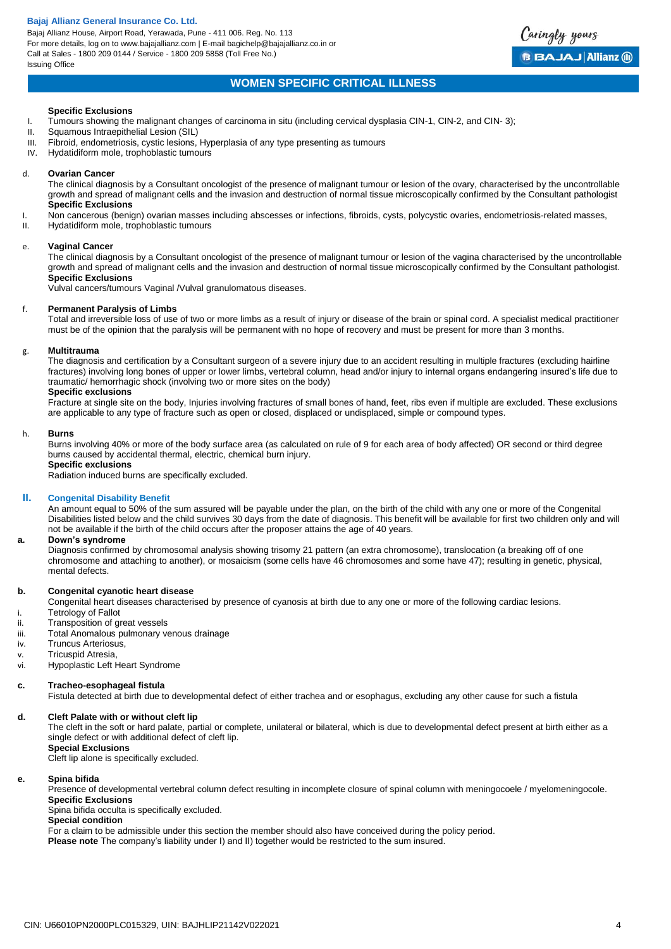Bajaj Allianz House, Airport Road, Yerawada, Pune - 411 006. Reg. No. 113 For more details, log on to www.bajajallianz.com | E-mail bagichelp@bajajallianz.co.in or Call at Sales - 1800 209 0144 / Service - 1800 209 5858 (Toll Free No.) Issuing Office



## **WOMEN SPECIFIC CRITICAL ILLNESS**

#### **Specific Exclusions**

- I. Tumours showing the malignant changes of carcinoma in situ (including cervical dysplasia CIN-1, CIN-2, and CIN- 3);<br>II. Squamous Intraepithelial Lesion (SIL)
- II. Squamous Intraepithelial Lesion (SIL)<br>III. Fibroid. endometriosis. cystic lesions.
- Fibroid, endometriosis, cystic lesions, Hyperplasia of any type presenting as tumours
- IV. Hydatidiform mole, trophoblastic tumours

#### d. **Ovarian Cancer**

The clinical diagnosis by a Consultant oncologist of the presence of malignant tumour or lesion of the ovary, characterised by the uncontrollable growth and spread of malignant cells and the invasion and destruction of normal tissue microscopically confirmed by the Consultant pathologist **Specific Exclusions**

- I. Non cancerous (benign) ovarian masses including abscesses or infections, fibroids, cysts, polycystic ovaries, endometriosis-related masses,
- II. Hydatidiform mole, trophoblastic tumours

#### e. **Vaginal Cancer**

The clinical diagnosis by a Consultant oncologist of the presence of malignant tumour or lesion of the vagina characterised by the uncontrollable growth and spread of malignant cells and the invasion and destruction of normal tissue microscopically confirmed by the Consultant pathologist. **Specific Exclusions**

Vulval cancers/tumours Vaginal /Vulval granulomatous diseases.

#### f. **Permanent Paralysis of Limbs**

Total and irreversible loss of use of two or more limbs as a result of injury or disease of the brain or spinal cord. A specialist medical practitioner must be of the opinion that the paralysis will be permanent with no hope of recovery and must be present for more than 3 months.

#### g. **Multitrauma**

The diagnosis and certification by a Consultant surgeon of a severe injury due to an accident resulting in multiple fractures (excluding hairline fractures) involving long bones of upper or lower limbs, vertebral column, head and/or injury to internal organs endangering insured's life due to traumatic/ hemorrhagic shock (involving two or more sites on the body)

#### **Specific exclusions**

Fracture at single site on the body, Injuries involving fractures of small bones of hand, feet, ribs even if multiple are excluded. These exclusions are applicable to any type of fracture such as open or closed, displaced or undisplaced, simple or compound types.

#### h. **Burns**

Burns involving 40% or more of the body surface area (as calculated on rule of 9 for each area of body affected) OR second or third degree burns caused by accidental thermal, electric, chemical burn injury.

## **Specific exclusions**

Radiation induced burns are specifically excluded.

## **II. Congenital Disability Benefit**

An amount equal to 50% of the sum assured will be payable under the plan, on the birth of the child with any one or more of the Congenital Disabilities listed below and the child survives 30 days from the date of diagnosis. This benefit will be available for first two children only and will not be available if the birth of the child occurs after the proposer attains the age of 40 years.

#### **a. Down's syndrome**

Diagnosis confirmed by chromosomal analysis showing trisomy 21 pattern (an extra chromosome), translocation (a breaking off of one chromosome and attaching to another), or mosaicism (some cells have 46 chromosomes and some have 47); resulting in genetic, physical, mental defects.

#### **b. Congenital cyanotic heart disease**

Congenital heart diseases characterised by presence of cyanosis at birth due to any one or more of the following cardiac lesions.

- i. Tetrology of Fallot<br>ii. Transposition of qu
- Transposition of great vessels
- iii. Total Anomalous pulmonary venous drainage
- iv. Truncus Arteriosus,
- v. Tricuspid Atresia,
- vi. Hypoplastic Left Heart Syndrome

#### **c. Tracheo-esophageal fistula**

Fistula detected at birth due to developmental defect of either trachea and or esophagus, excluding any other cause for such a fistula

#### **d. Cleft Palate with or without cleft lip**

The cleft in the soft or hard palate, partial or complete, unilateral or bilateral, which is due to developmental defect present at birth either as a single defect or with additional defect of cleft lip.

**Special Exclusions**

Cleft lip alone is specifically excluded.

#### **e. Spina bifida**

Presence of developmental vertebral column defect resulting in incomplete closure of spinal column with meningocoele / myelomeningocole. **Specific Exclusions**

Spina bifida occulta is specifically excluded.

**Special condition** 

For a claim to be admissible under this section the member should also have conceived during the policy period.

**Please note** The company's liability under I) and II) together would be restricted to the sum insured.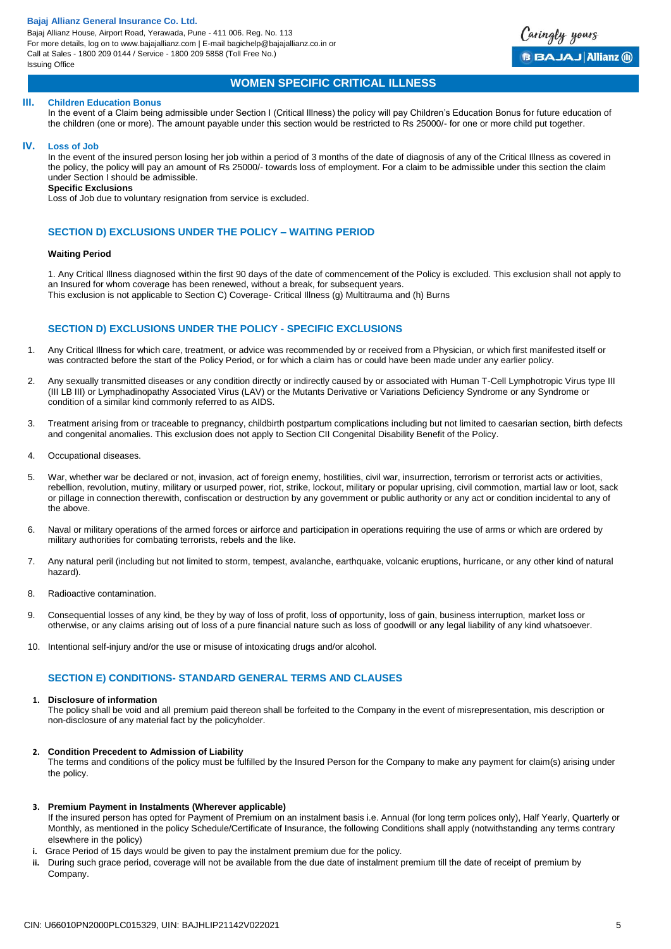Bajaj Allianz House, Airport Road, Yerawada, Pune - 411 006. Reg. No. 113 For more details, log on to www.bajajallianz.com | E-mail bagichelp@bajajallianz.co.in or Call at Sales - 1800 209 0144 / Service - 1800 209 5858 (Toll Free No.) Issuing Office



## **WOMEN SPECIFIC CRITICAL ILLNESS**

#### **III. Children Education Bonus**

In the event of a Claim being admissible under Section I (Critical Illness) the policy will pay Children's Education Bonus for future education of the children (one or more). The amount payable under this section would be restricted to Rs 25000/- for one or more child put together.

#### **IV. Loss of Job**

In the event of the insured person losing her job within a period of 3 months of the date of diagnosis of any of the Critical Illness as covered in the policy, the policy will pay an amount of Rs 25000/- towards loss of employment. For a claim to be admissible under this section the claim under Section I should be admissible.

## **Specific Exclusions**

Loss of Job due to voluntary resignation from service is excluded.

## **SECTION D) EXCLUSIONS UNDER THE POLICY – WAITING PERIOD**

### **Waiting Period**

1. Any Critical Illness diagnosed within the first 90 days of the date of commencement of the Policy is excluded. This exclusion shall not apply to an Insured for whom coverage has been renewed, without a break, for subsequent years. This exclusion is not applicable to Section C) Coverage- Critical Illness (g) Multitrauma and (h) Burns

## **SECTION D) EXCLUSIONS UNDER THE POLICY - SPECIFIC EXCLUSIONS**

- 1. Any Critical Illness for which care, treatment, or advice was recommended by or received from a Physician, or which first manifested itself or was contracted before the start of the Policy Period, or for which a claim has or could have been made under any earlier policy.
- 2. Any sexually transmitted diseases or any condition directly or indirectly caused by or associated with Human T-Cell Lymphotropic Virus type III (III LB III) or Lymphadinopathy Associated Virus (LAV) or the Mutants Derivative or Variations Deficiency Syndrome or any Syndrome or condition of a similar kind commonly referred to as AIDS.
- 3. Treatment arising from or traceable to pregnancy, childbirth postpartum complications including but not limited to caesarian section, birth defects and congenital anomalies. This exclusion does not apply to Section CII Congenital Disability Benefit of the Policy.
- 4. Occupational diseases.
- 5. War, whether war be declared or not, invasion, act of foreign enemy, hostilities, civil war, insurrection, terrorism or terrorist acts or activities, rebellion, revolution, mutiny, military or usurped power, riot, strike, lockout, military or popular uprising, civil commotion, martial law or loot, sack or pillage in connection therewith, confiscation or destruction by any government or public authority or any act or condition incidental to any of the above.
- 6. Naval or military operations of the armed forces or airforce and participation in operations requiring the use of arms or which are ordered by military authorities for combating terrorists, rebels and the like.
- 7. Any natural peril (including but not limited to storm, tempest, avalanche, earthquake, volcanic eruptions, hurricane, or any other kind of natural hazard).
- 8. Radioactive contamination.
- 9. Consequential losses of any kind, be they by way of loss of profit, loss of opportunity, loss of gain, business interruption, market loss or otherwise, or any claims arising out of loss of a pure financial nature such as loss of goodwill or any legal liability of any kind whatsoever.
- 10. Intentional self-injury and/or the use or misuse of intoxicating drugs and/or alcohol.

## **SECTION E) CONDITIONS- STANDARD GENERAL TERMS AND CLAUSES**

#### **1. Disclosure of information**

The policy shall be void and all premium paid thereon shall be forfeited to the Company in the event of misrepresentation, mis description or non-disclosure of any material fact by the policyholder.

#### **2. Condition Precedent to Admission of Liability**

The terms and conditions of the policy must be fulfilled by the Insured Person for the Company to make any payment for claim(s) arising under the policy.

## **3. Premium Payment in Instalments (Wherever applicable)**

If the insured person has opted for Payment of Premium on an instalment basis i.e. Annual (for long term polices only), Half Yearly, Quarterly or Monthly, as mentioned in the policy Schedule/Certificate of Insurance, the following Conditions shall apply (notwithstanding any terms contrary elsewhere in the policy)

- **i.** Grace Period of 15 days would be given to pay the instalment premium due for the policy.
- **ii.** During such grace period, coverage will not be available from the due date of instalment premium till the date of receipt of premium by Company.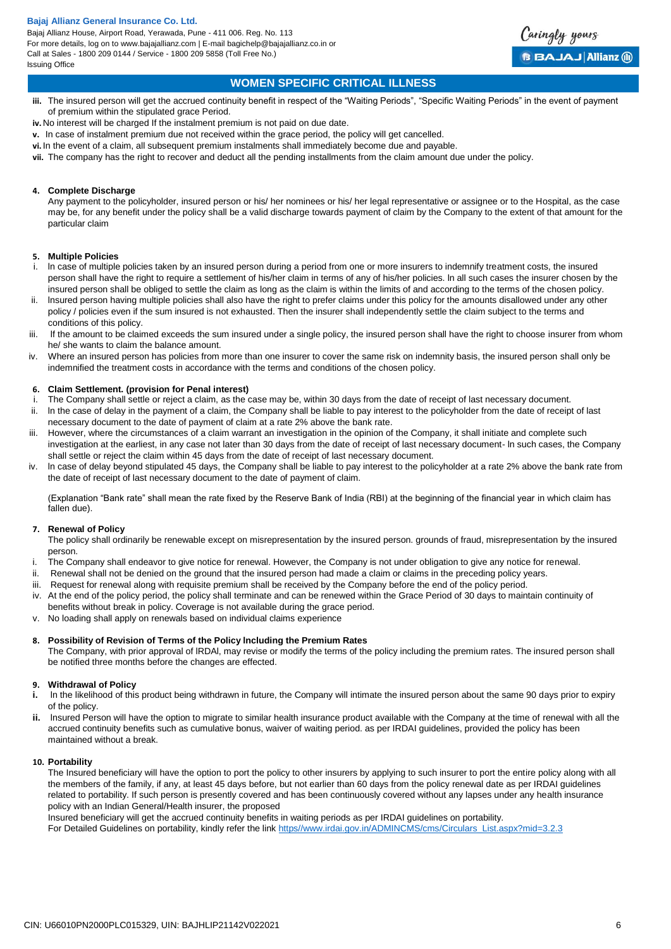

## **WOMEN SPECIFIC CRITICAL ILLNESS**

- **iii.** The insured person will get the accrued continuity benefit in respect of the "Waiting Periods", "Specific Waiting Periods" in the event of payment of premium within the stipulated grace Period.
- **iv.**No interest will be charged If the instalment premium is not paid on due date.
- **v.** In case of instalment premium due not received within the grace period, the policy will get cancelled.
- **vi.**In the event of a claim, all subsequent premium instalments shall immediately become due and payable.
- **vii.** The company has the right to recover and deduct all the pending installments from the claim amount due under the policy.

## **4. Complete Discharge**

Any payment to the policyholder, insured person or his/ her nominees or his/ her legal representative or assignee or to the Hospital, as the case may be, for any benefit under the policy shall be a valid discharge towards payment of claim by the Company to the extent of that amount for the particular claim

## **5. Multiple Policies**

- i. ln case of multiple policies taken by an insured person during a period from one or more insurers to indemnify treatment costs, the insured person shall have the right to require a settlement of his/her claim in terms of any of his/her policies. ln all such cases the insurer chosen by the insured person shall be obliged to settle the claim as long as the claim is within the limits of and according to the terms of the chosen policy.
- ii. lnsured person having multiple policies shall also have the right to prefer claims under this policy for the amounts disallowed under any other policy / policies even if the sum insured is not exhausted. Then the insurer shall independently settle the claim subject to the terms and conditions of this policy.
- iii. If the amount to be claimed exceeds the sum insured under a single policy, the insured person shall have the right to choose insurer from whom he/ she wants to claim the balance amount.
- iv. Where an insured person has policies from more than one insurer to cover the same risk on indemnity basis, the insured person shall only be indemnified the treatment costs in accordance with the terms and conditions of the chosen policy.

## **6. Claim Settlement. (provision for Penal interest)**

- i. The Company shall settle or reject a claim, as the case may be, within 30 days from the date of receipt of last necessary document.
- ii. ln the case of delay in the payment of a claim, the Company shall be liable to pay interest to the policyholder from the date of receipt of last necessary document to the date of payment of claim at a rate 2% above the bank rate.
- iii. However, where the circumstances of a claim warrant an investigation in the opinion of the Company, it shall initiate and complete such investigation at the earliest, in any case not later than 30 days from the date of receipt of last necessary document- ln such cases, the Company shall settle or reject the claim within 45 days from the date of receipt of last necessary document.
- iv. ln case of delay beyond stipulated 45 days, the Company shall be liable to pay interest to the policyholder at a rate 2% above the bank rate from the date of receipt of last necessary document to the date of payment of claim.

(Explanation "Bank rate" shall mean the rate fixed by the Reserve Bank of India (RBI) at the beginning of the financial year in which claim has fallen due).

## **7. Renewal of Policy**

The policy shall ordinarily be renewable except on misrepresentation by the insured person. grounds of fraud, misrepresentation by the insured person.

- i. The Company shall endeavor to give notice for renewal. However, the Company is not under obligation to give any notice for renewal.
- ii. Renewal shall not be denied on the ground that the insured person had made a claim or claims in the preceding policy years.
- Request for renewal along with requisite premium shall be received by the Company before the end of the policy period.
- iv. At the end of the policy period, the policy shall terminate and can be renewed within the Grace Period of 30 days to maintain continuity of benefits without break in policy. Coverage is not available during the grace period.
- v. No loading shall apply on renewals based on individual claims experience

## **8. Possibility of Revision of Terms of the Policy lncluding the Premium Rates**

The Company, with prior approval of lRDAl, may revise or modify the terms of the policy including the premium rates. The insured person shall be notified three months before the changes are effected.

## **9. Withdrawal of Policy**

- **i.** In the likelihood of this product being withdrawn in future, the Company will intimate the insured person about the same 90 days prior to expiry of the policy.
- **ii.** lnsured Person will have the option to migrate to similar health insurance product available with the Company at the time of renewal with all the accrued continuity benefits such as cumulative bonus, waiver of waiting period. as per IRDAI guidelines, provided the policy has been maintained without a break.

## **10. Portability**

The Insured beneficiary will have the option to port the policy to other insurers by applying to such insurer to port the entire policy along with all the members of the family, if any, at least 45 days before, but not earlier than 60 days from the policy renewal date as per IRDAI guidelines related to portability. If such person is presently covered and has been continuously covered without any lapses under any health insurance policy with an Indian General/Health insurer, the proposed

Insured beneficiary will get the accrued continuity benefits in waiting periods as per IRDAI guidelines on portability. For Detailed Guidelines on portability, kindly refer the link [https//www.irdai.gov.in/ADMINCMS/cms/Circulars\\_List.aspx?mid=3.2.3](https://www.irdai.gov.in/ADMINCMS/cms/Circulars_List.aspx?mid=3.2.3)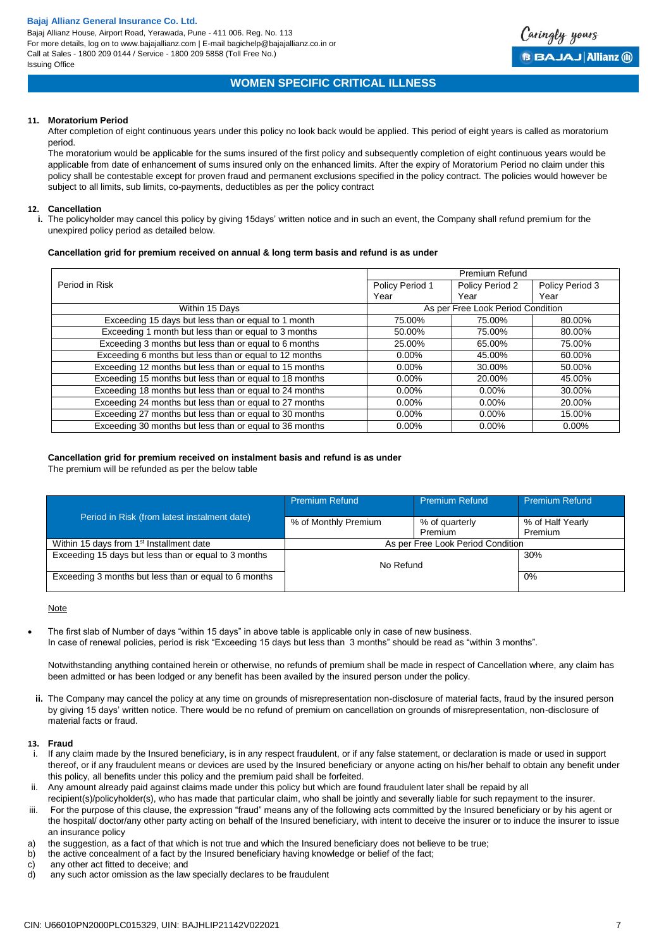

## **WOMEN SPECIFIC CRITICAL ILLNESS**

## **11. Moratorium Period**

After completion of eight continuous years under this policy no look back would be applied. This period of eight years is called as moratorium period.

The moratorium would be applicable for the sums insured of the first policy and subsequently completion of eight continuous years would be applicable from date of enhancement of sums insured only on the enhanced limits. After the expiry of Moratorium Period no claim under this policy shall be contestable except for proven fraud and permanent exclusions specified in the policy contract. The policies would however be subject to all limits, sub limits, co-payments, deductibles as per the policy contract

## **12. Cancellation**

**i.** The policyholder may cancel this policy by giving 15days' written notice and in such an event, the Company shall refund premium for the unexpired policy period as detailed below.

## **Cancellation grid for premium received on annual & long term basis and refund is as under**

|                                                         |                 | <b>Premium Refund</b>             |                 |
|---------------------------------------------------------|-----------------|-----------------------------------|-----------------|
| Period in Risk                                          | Policy Period 1 | Policy Period 2                   | Policy Period 3 |
|                                                         | Year            | Year                              | Year            |
| Within 15 Days                                          |                 | As per Free Look Period Condition |                 |
| Exceeding 15 days but less than or equal to 1 month     | 75.00%          | 75.00%                            | 80.00%          |
| Exceeding 1 month but less than or equal to 3 months    | 50.00%          | 75.00%                            | 80.00%          |
| Exceeding 3 months but less than or equal to 6 months   | 25.00%          | 65.00%                            | 75.00%          |
| Exceeding 6 months but less than or equal to 12 months  | $0.00\%$        | 45.00%                            | 60.00%          |
| Exceeding 12 months but less than or equal to 15 months | $0.00\%$        | 30.00%                            | 50.00%          |
| Exceeding 15 months but less than or equal to 18 months | $0.00\%$        | 20.00%                            | 45.00%          |
| Exceeding 18 months but less than or equal to 24 months | $0.00\%$        | $0.00\%$                          | 30.00%          |
| Exceeding 24 months but less than or equal to 27 months | $0.00\%$        | $0.00\%$                          | 20.00%          |
| Exceeding 27 months but less than or equal to 30 months | $0.00\%$        | $0.00\%$                          | 15.00%          |
| Exceeding 30 months but less than or equal to 36 months | $0.00\%$        | $0.00\%$                          | $0.00\%$        |

## **Cancellation grid for premium received on instalment basis and refund is as under**

The premium will be refunded as per the below table

|                                                       | <b>Premium Refund</b> | <b>Premium Refund</b>             | <b>Premium Refund</b> |
|-------------------------------------------------------|-----------------------|-----------------------------------|-----------------------|
| Period in Risk (from latest instalment date)          | % of Monthly Premium  | % of quarterly                    | % of Half Yearly      |
|                                                       |                       | Premium                           | Premium               |
| Within 15 days from 1 <sup>st</sup> Installment date  |                       | As per Free Look Period Condition |                       |
| Exceeding 15 days but less than or equal to 3 months  |                       |                                   | 30%                   |
|                                                       | No Refund             |                                   |                       |
| Exceeding 3 months but less than or equal to 6 months |                       |                                   | 0%                    |
|                                                       |                       |                                   |                       |

## Note

 The first slab of Number of days "within 15 days" in above table is applicable only in case of new business. In case of renewal policies, period is risk "Exceeding 15 days but less than 3 months" should be read as "within 3 months".

Notwithstanding anything contained herein or otherwise, no refunds of premium shall be made in respect of Cancellation where, any claim has been admitted or has been lodged or any benefit has been availed by the insured person under the policy.

**ii.** The Company may cancel the policy at any time on grounds of misrepresentation non-disclosure of material facts, fraud by the insured person by giving 15 days' written notice. There would be no refund of premium on cancellation on grounds of misrepresentation, non-disclosure of material facts or fraud.

## **13. Fraud**

- i. If any claim made by the Insured beneficiary, is in any respect fraudulent, or if any false statement, or declaration is made or used in support thereof, or if any fraudulent means or devices are used by the Insured beneficiary or anyone acting on his/her behalf to obtain any benefit under this policy, all benefits under this policy and the premium paid shall be forfeited.
- ii. Any amount already paid against claims made under this policy but which are found fraudulent later shall be repaid by all
- recipient(s)/policyholder(s), who has made that particular claim, who shall be jointly and severally liable for such repayment to the insurer. iii. For the purpose of this clause, the expression "fraud" means any of the following acts committed by the Insured beneficiary or by his agent or the hospital/ doctor/any other party acting on behalf of the Insured beneficiary, with intent to deceive the insurer or to induce the insurer to issue
- an insurance policy a) the suggestion, as a fact of that which is not true and which the Insured beneficiary does not believe to be true;
- b) the active concealment of a fact by the Insured beneficiary having knowledge or belief of the fact;
- c) any other act fitted to deceive; and
- d) any such actor omission as the law specially declares to be fraudulent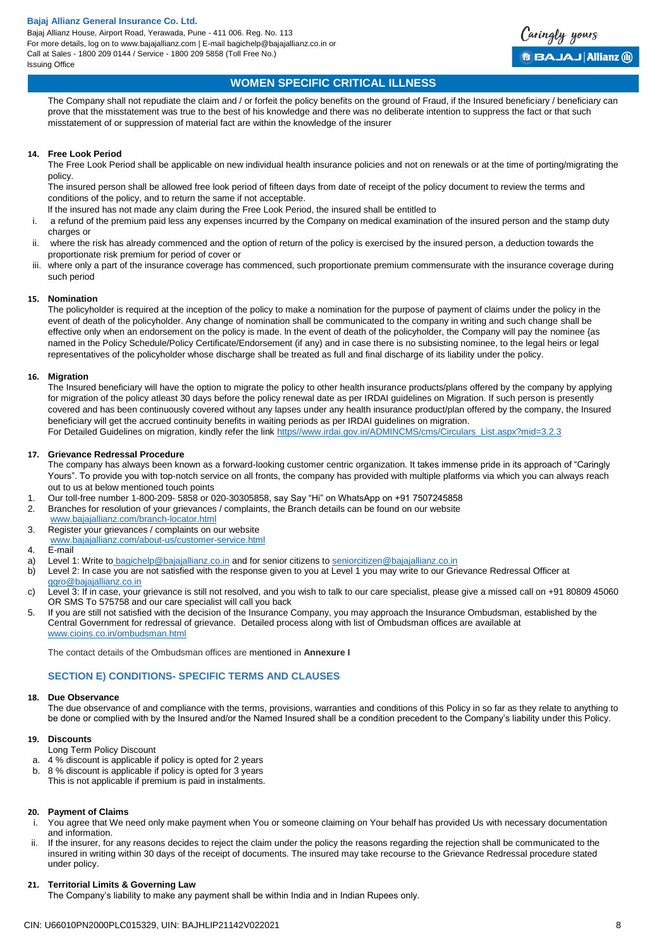

## **WOMEN SPECIFIC CRITICAL ILLNESS**

The Company shall not repudiate the claim and / or forfeit the policy benefits on the ground of Fraud, if the Insured beneficiary / beneficiary can prove that the misstatement was true to the best of his knowledge and there was no deliberate intention to suppress the fact or that such misstatement of or suppression of material fact are within the knowledge of the insurer

## **14. Free Look Period**

The Free Look Period shall be applicable on new individual health insurance policies and not on renewals or at the time of porting/migrating the policy.

The insured person shall be allowed free look period of fifteen days from date of receipt of the policy document to review the terms and conditions of the policy, and to return the same if not acceptable.

- lf the insured has not made any claim during the Free Look Period, the insured shall be entitled to
- i. a refund of the premium paid less any expenses incurred by the Company on medical examination of the insured person and the stamp duty charges or
- ii. where the risk has already commenced and the option of return of the policy is exercised by the insured person, a deduction towards the proportionate risk premium for period of cover or
- iii. where only a part of the insurance coverage has commenced, such proportionate premium commensurate with the insurance coverage during such period

#### **15. Nomination**

The policyholder is required at the inception of the policy to make a nomination for the purpose of payment of claims under the policy in the event of death of the policyholder. Any change of nomination shall be communicated to the company in writing and such change shall be effective only when an endorsement on the policy is made. ln the event of death of the policyholder, the Company will pay the nominee {as named in the Policy Schedule/Policy Certificate/Endorsement (if any) and in case there is no subsisting nominee, to the legal heirs or legal representatives of the policyholder whose discharge shall be treated as full and final discharge of its liability under the policy.

## **16. Migration**

The Insured beneficiary will have the option to migrate the policy to other health insurance products/plans offered by the company by applying for migration of the policy atleast 30 days before the policy renewal date as per IRDAI guidelines on Migration. If such person is presently covered and has been continuously covered without any lapses under any health insurance product/plan offered by the company, the Insured beneficiary will get the accrued continuity benefits in waiting periods as per IRDAI guidelines on migration. For Detailed Guidelines on migration, kindly refer the link [https//www.irdai.gov.in/ADMINCMS/cms/Circulars\\_List.aspx?mid=3.2.3](https://www.irdai.gov.in/ADMINCMS/cms/Circulars_List.aspx?mid=3.2.3)

#### **17. Grievance Redressal Procedure**

The company has always been known as a forward-looking customer centric organization. It takes immense pride in its approach of "Caringly Yours". To provide you with top-notch service on all fronts, the company has provided with multiple platforms via which you can always reach out to us at below mentioned touch points

- 1. Our toll-free number 1-800-209- 5858 or 020-30305858, say Say "Hi" on WhatsApp on +91 7507245858
- 2. Branches for resolution of your grievances / complaints, the Branch details can be found on our website
- [www.bajajallianz.com/branch-locator.html](http://www.bajajallianz.com/branch-locator.html) 3. Register your grievances / complaints on our website
- [www.bajajallianz.com/about-us/customer-service.html](http://www.bajajallianz.com/about-us/customer-service.html)

#### 4. E-mail

- a) Level 1: Write to [bagichelp@bajajallianz.co.in](mailto:bagichelp@bajajallianz.co.in) and for senior citizens to [seniorcitizen@bajajallianz.co.in](mailto:seniorcitizen@bajajallianz.co.in)
- b) Level 2: In case you are not satisfied with the response given to you at Level 1 you may write to our Grievance Redressal Officer at [ggro@bajajallianz.co.in](mailto:ggro@bajajallianz.co.in)
- c) Level 3: If in case, your grievance is still not resolved, and you wish to talk to our care specialist, please give a missed call on +91 80809 45060 OR SMS To 575758 and our care specialist will call you back
- 5. If you are still not satisfied with the decision of the Insurance Company, you may approach the Insurance Ombudsman, established by the Central Government for redressal of grievance. Detailed process along with list of Ombudsman offices are available at [www.cioins.co.in/ombudsman.html](http://www.cioins.co.in/ombudsman.html)

The contact details of the Ombudsman offices are mentioned in **Annexure I**

## **SECTION E) CONDITIONS- SPECIFIC TERMS AND CLAUSES**

#### **18. Due Observance**

The due observance of and compliance with the terms, provisions, warranties and conditions of this Policy in so far as they relate to anything to be done or complied with by the Insured and/or the Named Insured shall be a condition precedent to the Company's liability under this Policy.

#### **19. Discounts**

Long Term Policy Discount

- a. 4 % discount is applicable if policy is opted for 2 years
- b. 8 % discount is applicable if policy is opted for 3 years
- This is not applicable if premium is paid in instalments.

## **20. Payment of Claims**

- You agree that We need only make payment when You or someone claiming on Your behalf has provided Us with necessary documentation and information.
- ii. If the insurer, for any reasons decides to reject the claim under the policy the reasons regarding the rejection shall be communicated to the insured in writing within 30 days of the receipt of documents. The insured may take recourse to the Grievance Redressal procedure stated under policy.

## **21. Territorial Limits & Governing Law**

The Company's liability to make any payment shall be within India and in Indian Rupees only.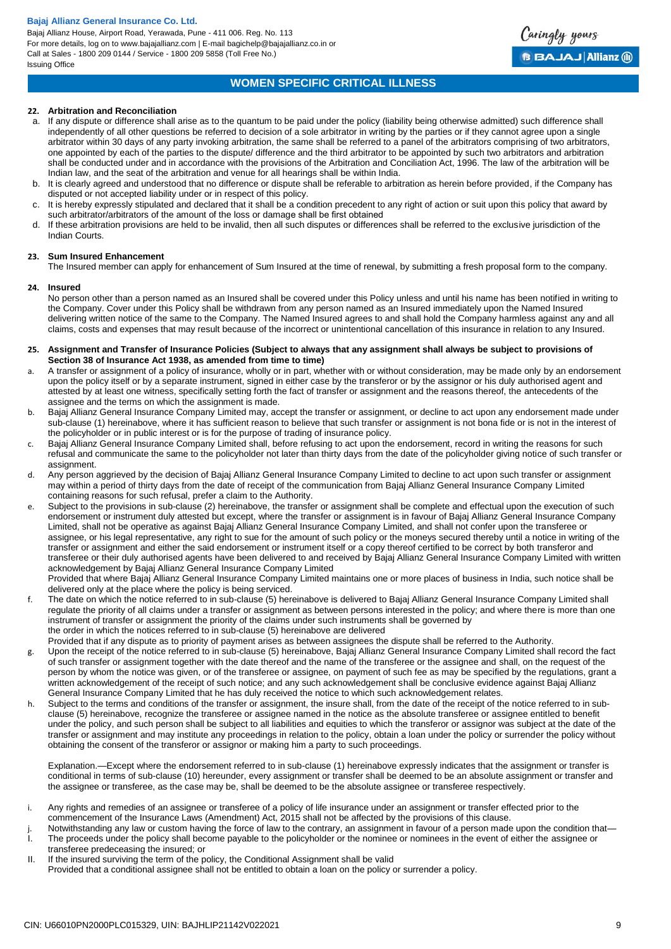Bajaj Allianz House, Airport Road, Yerawada, Pune - 411 006. Reg. No. 113 For more details, log on to www.bajajallianz.com | E-mail bagichelp@bajajallianz.co.in or Call at Sales - 1800 209 0144 / Service - 1800 209 5858 (Toll Free No.) Issuing Office



## **WOMEN SPECIFIC CRITICAL ILLNESS**

## **22. Arbitration and Reconciliation**

- a. If any dispute or difference shall arise as to the quantum to be paid under the policy (liability being otherwise admitted) such difference shall independently of all other questions be referred to decision of a sole arbitrator in writing by the parties or if they cannot agree upon a single arbitrator within 30 days of any party invoking arbitration, the same shall be referred to a panel of the arbitrators comprising of two arbitrators, one appointed by each of the parties to the dispute/ difference and the third arbitrator to be appointed by such two arbitrators and arbitration shall be conducted under and in accordance with the provisions of the Arbitration and Conciliation Act, 1996. The law of the arbitration will be Indian law, and the seat of the arbitration and venue for all hearings shall be within India.
- b. It is clearly agreed and understood that no difference or dispute shall be referable to arbitration as herein before provided, if the Company has disputed or not accepted liability under or in respect of this policy.
- It is hereby expressly stipulated and declared that it shall be a condition precedent to any right of action or suit upon this policy that award by such arbitrator/arbitrators of the amount of the loss or damage shall be first obtained
- d. If these arbitration provisions are held to be invalid, then all such disputes or differences shall be referred to the exclusive jurisdiction of the Indian Courts.

#### **23. Sum Insured Enhancement**

The Insured member can apply for enhancement of Sum Insured at the time of renewal, by submitting a fresh proposal form to the company.

#### **24. Insured**

No person other than a person named as an Insured shall be covered under this Policy unless and until his name has been notified in writing to the Company. Cover under this Policy shall be withdrawn from any person named as an Insured immediately upon the Named Insured delivering written notice of the same to the Company. The Named Insured agrees to and shall hold the Company harmless against any and all claims, costs and expenses that may result because of the incorrect or unintentional cancellation of this insurance in relation to any Insured.

#### **25. Assignment and Transfer of Insurance Policies (Subject to always that any assignment shall always be subject to provisions of Section 38 of Insurance Act 1938, as amended from time to time)**

- a. A transfer or assignment of a policy of insurance, wholly or in part, whether with or without consideration, may be made only by an endorsement upon the policy itself or by a separate instrument, signed in either case by the transferor or by the assignor or his duly authorised agent and attested by at least one witness, specifically setting forth the fact of transfer or assignment and the reasons thereof, the antecedents of the assignee and the terms on which the assignment is made.
- b. Bajaj Allianz General Insurance Company Limited may, accept the transfer or assignment, or decline to act upon any endorsement made under sub-clause (1) hereinabove, where it has sufficient reason to believe that such transfer or assignment is not bona fide or is not in the interest of the policyholder or in public interest or is for the purpose of trading of insurance policy.
- c. Bajaj Allianz General Insurance Company Limited shall, before refusing to act upon the endorsement, record in writing the reasons for such refusal and communicate the same to the policyholder not later than thirty days from the date of the policyholder giving notice of such transfer or assignment.
- d. Any person aggrieved by the decision of Bajaj Allianz General Insurance Company Limited to decline to act upon such transfer or assignment may within a period of thirty days from the date of receipt of the communication from Bajaj Allianz General Insurance Company Limited containing reasons for such refusal, prefer a claim to the Authority.
- e. Subject to the provisions in sub-clause (2) hereinabove, the transfer or assignment shall be complete and effectual upon the execution of such endorsement or instrument duly attested but except, where the transfer or assignment is in favour of Bajaj Allianz General Insurance Company Limited, shall not be operative as against Bajaj Allianz General Insurance Company Limited, and shall not confer upon the transferee or assignee, or his legal representative, any right to sue for the amount of such policy or the moneys secured thereby until a notice in writing of the transfer or assignment and either the said endorsement or instrument itself or a copy thereof certified to be correct by both transferor and transferee or their duly authorised agents have been delivered to and received by Bajaj Allianz General Insurance Company Limited with written acknowledgement by Bajaj Allianz General Insurance Company Limited

Provided that where Bajaj Allianz General Insurance Company Limited maintains one or more places of business in India, such notice shall be delivered only at the place where the policy is being serviced.

- f. The date on which the notice referred to in sub-clause (5) hereinabove is delivered to Bajaj Allianz General Insurance Company Limited shall regulate the priority of all claims under a transfer or assignment as between persons interested in the policy; and where there is more than one instrument of transfer or assignment the priority of the claims under such instruments shall be governed by the order in which the notices referred to in sub-clause (5) hereinabove are delivered
- Provided that if any dispute as to priority of payment arises as between assignees the dispute shall be referred to the Authority. g. Upon the receipt of the notice referred to in sub-clause (5) hereinabove, Bajaj Allianz General Insurance Company Limited shall record the fact of such transfer or assignment together with the date thereof and the name of the transferee or the assignee and shall, on the request of the
- person by whom the notice was given, or of the transferee or assignee, on payment of such fee as may be specified by the regulations, grant a written acknowledgement of the receipt of such notice; and any such acknowledgement shall be conclusive evidence against Bajaj Allianz General Insurance Company Limited that he has duly received the notice to which such acknowledgement relates.
- h. Subject to the terms and conditions of the transfer or assignment, the insure shall, from the date of the receipt of the notice referred to in subclause (5) hereinabove, recognize the transferee or assignee named in the notice as the absolute transferee or assignee entitled to benefit under the policy, and such person shall be subject to all liabilities and equities to which the transferor or assignor was subject at the date of the transfer or assignment and may institute any proceedings in relation to the policy, obtain a loan under the policy or surrender the policy without obtaining the consent of the transferor or assignor or making him a party to such proceedings.

Explanation.—Except where the endorsement referred to in sub-clause (1) hereinabove expressly indicates that the assignment or transfer is conditional in terms of sub-clause (10) hereunder, every assignment or transfer shall be deemed to be an absolute assignment or transfer and the assignee or transferee, as the case may be, shall be deemed to be the absolute assignee or transferee respectively.

- i. Any rights and remedies of an assignee or transferee of a policy of life insurance under an assignment or transfer effected prior to the commencement of the Insurance Laws (Amendment) Act, 2015 shall not be affected by the provisions of this clause.
- j. Notwithstanding any law or custom having the force of law to the contrary, an assignment in favour of a person made upon the condition that—<br>In the proceeds under the policy shall become payable to the policyholder or t The proceeds under the policy shall become payable to the policyholder or the nominee or nominees in the event of either the assignee or transferee predeceasing the insured; or
- II. If the insured surviving the term of the policy, the Conditional Assignment shall be valid

Provided that a conditional assignee shall not be entitled to obtain a loan on the policy or surrender a policy.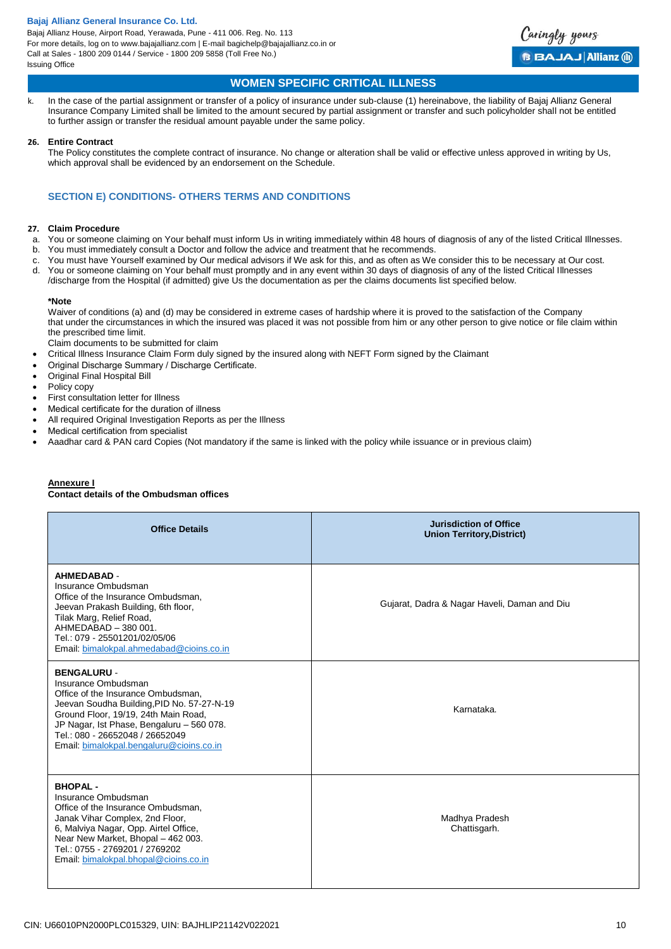

## **WOMEN SPECIFIC CRITICAL ILLNESS**

k. In the case of the partial assignment or transfer of a policy of insurance under sub-clause (1) hereinabove, the liability of Bajaj Allianz General Insurance Company Limited shall be limited to the amount secured by partial assignment or transfer and such policyholder shall not be entitled to further assign or transfer the residual amount payable under the same policy.

### **26. Entire Contract**

The Policy constitutes the complete contract of insurance. No change or alteration shall be valid or effective unless approved in writing by Us, which approval shall be evidenced by an endorsement on the Schedule.

## **SECTION E) CONDITIONS- OTHERS TERMS AND CONDITIONS**

### **27. Claim Procedure**

- a. You or someone claiming on Your behalf must inform Us in writing immediately within 48 hours of diagnosis of any of the listed Critical Illnesses.
- b. You must immediately consult a Doctor and follow the advice and treatment that he recommends.
- c. You must have Yourself examined by Our medical advisors if We ask for this, and as often as We consider this to be necessary at Our cost.
- d. You or someone claiming on Your behalf must promptly and in any event within 30 days of diagnosis of any of the listed Critical Illnesses /discharge from the Hospital (if admitted) give Us the documentation as per the claims documents list specified below.

#### **\*Note**

Waiver of conditions (a) and (d) may be considered in extreme cases of hardship where it is proved to the satisfaction of the Company that under the circumstances in which the insured was placed it was not possible from him or any other person to give notice or file claim within the prescribed time limit.

Claim documents to be submitted for claim

- Critical Illness Insurance Claim Form duly signed by the insured along with NEFT Form signed by the Claimant
- Original Discharge Summary / Discharge Certificate.
- Original Final Hospital Bill
- Policy copy
- First consultation letter for Illness
- Medical certificate for the duration of illness
- All required Original Investigation Reports as per the Illness
- Medical certification from specialist
- Aaadhar card & PAN card Copies (Not mandatory if the same is linked with the policy while issuance or in previous claim)

#### **Annexure I Contact details of the Ombudsman offices**

| <b>Office Details</b>                                                                                                                                                                                                                                                                            | <b>Jurisdiction of Office</b><br><b>Union Territory, District)</b> |
|--------------------------------------------------------------------------------------------------------------------------------------------------------------------------------------------------------------------------------------------------------------------------------------------------|--------------------------------------------------------------------|
| <b>AHMEDABAD -</b><br>Insurance Ombudsman<br>Office of the Insurance Ombudsman,<br>Jeevan Prakash Building, 6th floor,<br>Tilak Marg, Relief Road,<br>AHMEDABAD - 380 001.<br>Tel.: 079 - 25501201/02/05/06<br>Email: bimalokpal.ahmedabad@cioins.co.in                                          | Gujarat, Dadra & Nagar Haveli, Daman and Diu                       |
| <b>BENGALURU-</b><br>Insurance Ombudsman<br>Office of the Insurance Ombudsman,<br>Jeevan Soudha Building, PID No. 57-27-N-19<br>Ground Floor, 19/19, 24th Main Road,<br>JP Nagar, Ist Phase, Bengaluru - 560 078.<br>Tel.: 080 - 26652048 / 26652049<br>Email: bimalokpal.bengaluru@cioins.co.in | Karnataka.                                                         |
| <b>BHOPAL-</b><br>Insurance Ombudsman<br>Office of the Insurance Ombudsman.<br>Janak Vihar Complex, 2nd Floor,<br>6, Malviya Nagar, Opp. Airtel Office,<br>Near New Market, Bhopal - 462 003.<br>Tel.: 0755 - 2769201 / 2769202<br>Email: bimalokpal.bhopal@cioins.co.in                         | Madhya Pradesh<br>Chattisgarh.                                     |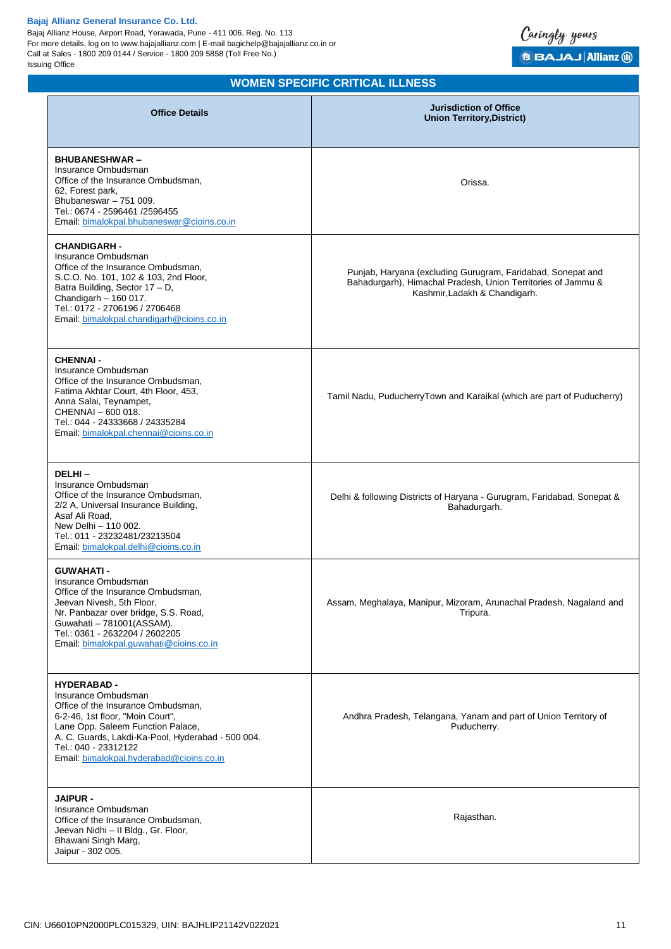Bajaj Allianz House, Airport Road, Yerawada, Pune - 411 006. Reg. No. 113 For more details, log on to www.bajajallianz.com | E-mail bagichelp@bajajallianz.co.in or Call at Sales - 1800 209 0144 / Service - 1800 209 5858 (Toll Free No.) Issuing Office



# **WOMEN SPECIFIC CRITICAL ILLNESS**

| <b>Office Details</b>                                                                                                                                                                                                                                                             | <b>Jurisdiction of Office</b><br><b>Union Territory, District)</b>                                                                                           |
|-----------------------------------------------------------------------------------------------------------------------------------------------------------------------------------------------------------------------------------------------------------------------------------|--------------------------------------------------------------------------------------------------------------------------------------------------------------|
| <b>BHUBANESHWAR-</b><br>Insurance Ombudsman<br>Office of the Insurance Ombudsman,<br>62, Forest park,<br>Bhubaneswar - 751 009.<br>Tel.: 0674 - 2596461 /2596455<br>Email: bimalokpal.bhubaneswar@cioins.co.in                                                                    | Orissa.                                                                                                                                                      |
| <b>CHANDIGARH-</b><br>Insurance Ombudsman<br>Office of the Insurance Ombudsman,<br>S.C.O. No. 101, 102 & 103, 2nd Floor,<br>Batra Building, Sector 17 - D,<br>Chandigarh - 160 017.<br>Tel.: 0172 - 2706196 / 2706468<br>Email: bimalokpal.chandigarh@cioins.co.in                | Punjab, Haryana (excluding Gurugram, Faridabad, Sonepat and<br>Bahadurgarh), Himachal Pradesh, Union Territories of Jammu &<br>Kashmir, Ladakh & Chandigarh. |
| <b>CHENNAI -</b><br>Insurance Ombudsman<br>Office of the Insurance Ombudsman,<br>Fatima Akhtar Court, 4th Floor, 453,<br>Anna Salai, Teynampet,<br>CHENNAI - 600 018.<br>Tel.: 044 - 24333668 / 24335284<br>Email: bimalokpal.chennai@cioins.co.in                                | Tamil Nadu, PuducherryTown and Karaikal (which are part of Puducherry)                                                                                       |
| DELHI-<br>Insurance Ombudsman<br>Office of the Insurance Ombudsman,<br>2/2 A, Universal Insurance Building,<br>Asaf Ali Road,<br>New Delhi - 110 002.<br>Tel.: 011 - 23232481/23213504<br>Email: bimalokpal.delhi@cioins.co.in                                                    | Delhi & following Districts of Haryana - Gurugram, Faridabad, Sonepat &<br>Bahadurgarh.                                                                      |
| <b>GUWAHATI-</b><br>Insurance Ombudsman<br>Office of the Insurance Ombudsman,<br>Jeevan Nivesh, 5th Floor,<br>Nr. Panbazar over bridge, S.S. Road,<br>Guwahati - 781001 (ASSAM).<br>Tel.: 0361 - 2632204 / 2602205<br>Email: bimalokpal.guwahati@cioins.co.in                     | Assam, Meghalaya, Manipur, Mizoram, Arunachal Pradesh, Nagaland and<br>Tripura.                                                                              |
| <b>HYDERABAD -</b><br>Insurance Ombudsman<br>Office of the Insurance Ombudsman,<br>6-2-46, 1st floor, "Moin Court",<br>Lane Opp. Saleem Function Palace,<br>A. C. Guards, Lakdi-Ka-Pool, Hyderabad - 500 004.<br>Tel.: 040 - 23312122<br>Email: bimalokpal.hyderabad@cioins.co.in | Andhra Pradesh, Telangana, Yanam and part of Union Territory of<br>Puducherry.                                                                               |
| <b>JAIPUR -</b><br>Insurance Ombudsman<br>Office of the Insurance Ombudsman,<br>Jeevan Nidhi - II Bldg., Gr. Floor,<br>Bhawani Singh Marg,<br>Jaipur - 302 005.                                                                                                                   | Rajasthan.                                                                                                                                                   |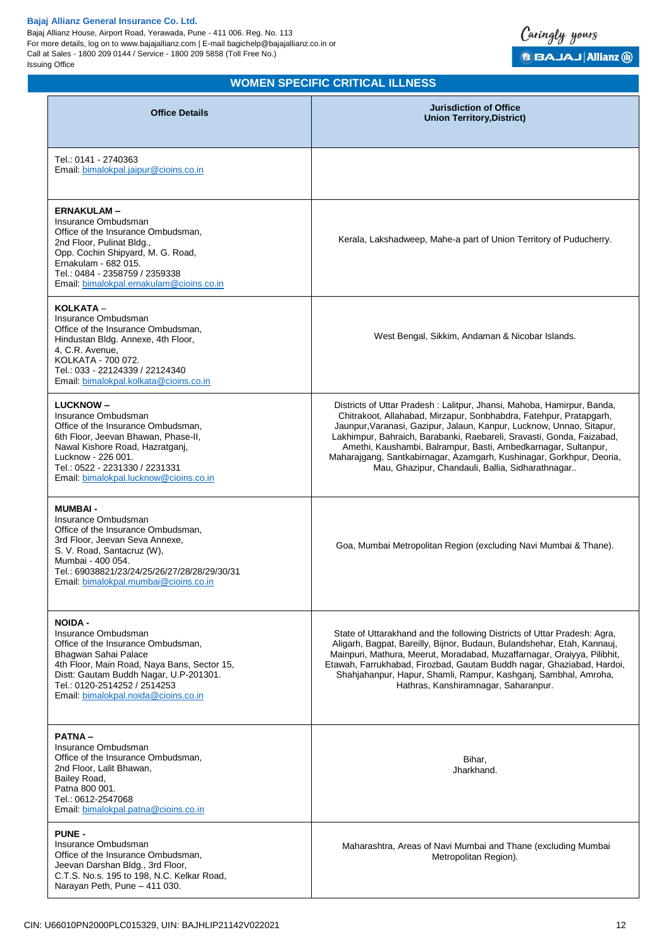Bajaj Allianz House, Airport Road, Yerawada, Pune - 411 006. Reg. No. 113 For more details, log on to www.bajajallianz.com | E-mail bagichelp@bajajallianz.co.in or Call at Sales - 1800 209 0144 / Service - 1800 209 5858 (Toll Free No.) Issuing Office



# **WOMEN SPECIFIC CRITICAL ILLNESS**

| <b>Office Details</b>                                                                                                                                                                                                                                                | <b>Jurisdiction of Office</b><br><b>Union Territory, District)</b>                                                                                                                                                                                                                                                                                                                                                                                                                          |
|----------------------------------------------------------------------------------------------------------------------------------------------------------------------------------------------------------------------------------------------------------------------|---------------------------------------------------------------------------------------------------------------------------------------------------------------------------------------------------------------------------------------------------------------------------------------------------------------------------------------------------------------------------------------------------------------------------------------------------------------------------------------------|
| Tel.: 0141 - 2740363<br>Email: bimalokpal.jaipur@cioins.co.in                                                                                                                                                                                                        |                                                                                                                                                                                                                                                                                                                                                                                                                                                                                             |
| <b>ERNAKULAM-</b><br>Insurance Ombudsman<br>Office of the Insurance Ombudsman,<br>2nd Floor, Pulinat Bldg.,<br>Opp. Cochin Shipyard, M. G. Road,<br>Ernakulam - 682 015.<br>Tel.: 0484 - 2358759 / 2359338<br>Email: bimalokpal.ernakulam@cioins.co.in               | Kerala, Lakshadweep, Mahe-a part of Union Territory of Puducherry.                                                                                                                                                                                                                                                                                                                                                                                                                          |
| KOLKATA -<br>Insurance Ombudsman<br>Office of the Insurance Ombudsman.<br>Hindustan Bldg. Annexe, 4th Floor,<br>4, C.R. Avenue,<br>KOLKATA - 700 072.<br>Tel.: 033 - 22124339 / 22124340<br>Email: bimalokpal.kolkata@cioins.co.in                                   | West Bengal, Sikkim, Andaman & Nicobar Islands.                                                                                                                                                                                                                                                                                                                                                                                                                                             |
| <b>LUCKNOW-</b><br>Insurance Ombudsman<br>Office of the Insurance Ombudsman,<br>6th Floor, Jeevan Bhawan, Phase-II,<br>Nawal Kishore Road, Hazratganj,<br>Lucknow - 226 001.<br>Tel.: 0522 - 2231330 / 2231331<br>Email: bimalokpal.lucknow@cioins.co.in             | Districts of Uttar Pradesh: Lalitpur, Jhansi, Mahoba, Hamirpur, Banda,<br>Chitrakoot, Allahabad, Mirzapur, Sonbhabdra, Fatehpur, Pratapgarh,<br>Jaunpur, Varanasi, Gazipur, Jalaun, Kanpur, Lucknow, Unnao, Sitapur,<br>Lakhimpur, Bahraich, Barabanki, Raebareli, Sravasti, Gonda, Faizabad,<br>Amethi, Kaushambi, Balrampur, Basti, Ambedkarnagar, Sultanpur,<br>Maharajgang, Santkabirnagar, Azamgarh, Kushinagar, Gorkhpur, Deoria,<br>Mau, Ghazipur, Chandauli, Ballia, Sidharathnagar |
| <b>MUMBAI-</b><br>Insurance Ombudsman<br>Office of the Insurance Ombudsman,<br>3rd Floor, Jeevan Seva Annexe,<br>S. V. Road, Santacruz (W),<br>Mumbai - 400 054.<br>Tel.: 69038821/23/24/25/26/27/28/28/29/30/31<br>Email: bimalokpal.mumbai@cioins.co.in            | Goa, Mumbai Metropolitan Region (excluding Navi Mumbai & Thane).                                                                                                                                                                                                                                                                                                                                                                                                                            |
| <b>NOIDA -</b><br>Insurance Ombudsman<br>Office of the Insurance Ombudsman,<br>Bhagwan Sahai Palace<br>4th Floor, Main Road, Naya Bans, Sector 15,<br>Distt: Gautam Buddh Nagar, U.P-201301.<br>Tel.: 0120-2514252 / 2514253<br>Email: bimalokpal.noida@cioins.co.in | State of Uttarakhand and the following Districts of Uttar Pradesh: Agra,<br>Aligarh, Bagpat, Bareilly, Bijnor, Budaun, Bulandshehar, Etah, Kannauj,<br>Mainpuri, Mathura, Meerut, Moradabad, Muzaffarnagar, Oraiyya, Pilibhit,<br>Etawah, Farrukhabad, Firozbad, Gautam Buddh nagar, Ghaziabad, Hardoi,<br>Shahjahanpur, Hapur, Shamli, Rampur, Kashganj, Sambhal, Amroha,<br>Hathras, Kanshiramnagar, Saharanpur.                                                                          |
| <b>PATNA-</b><br>Insurance Ombudsman<br>Office of the Insurance Ombudsman,<br>2nd Floor, Lalit Bhawan,<br>Bailey Road,<br>Patna 800 001.<br>Tel.: 0612-2547068<br>Email: bimalokpal.patna@cioins.co.in                                                               | Bihar,<br>Jharkhand.                                                                                                                                                                                                                                                                                                                                                                                                                                                                        |
| <b>PUNE -</b><br>Insurance Ombudsman<br>Office of the Insurance Ombudsman,<br>Jeevan Darshan Bldg., 3rd Floor,<br>C.T.S. No.s. 195 to 198, N.C. Kelkar Road,<br>Narayan Peth, Pune - 411 030.                                                                        | Maharashtra, Areas of Navi Mumbai and Thane (excluding Mumbai<br>Metropolitan Region).                                                                                                                                                                                                                                                                                                                                                                                                      |